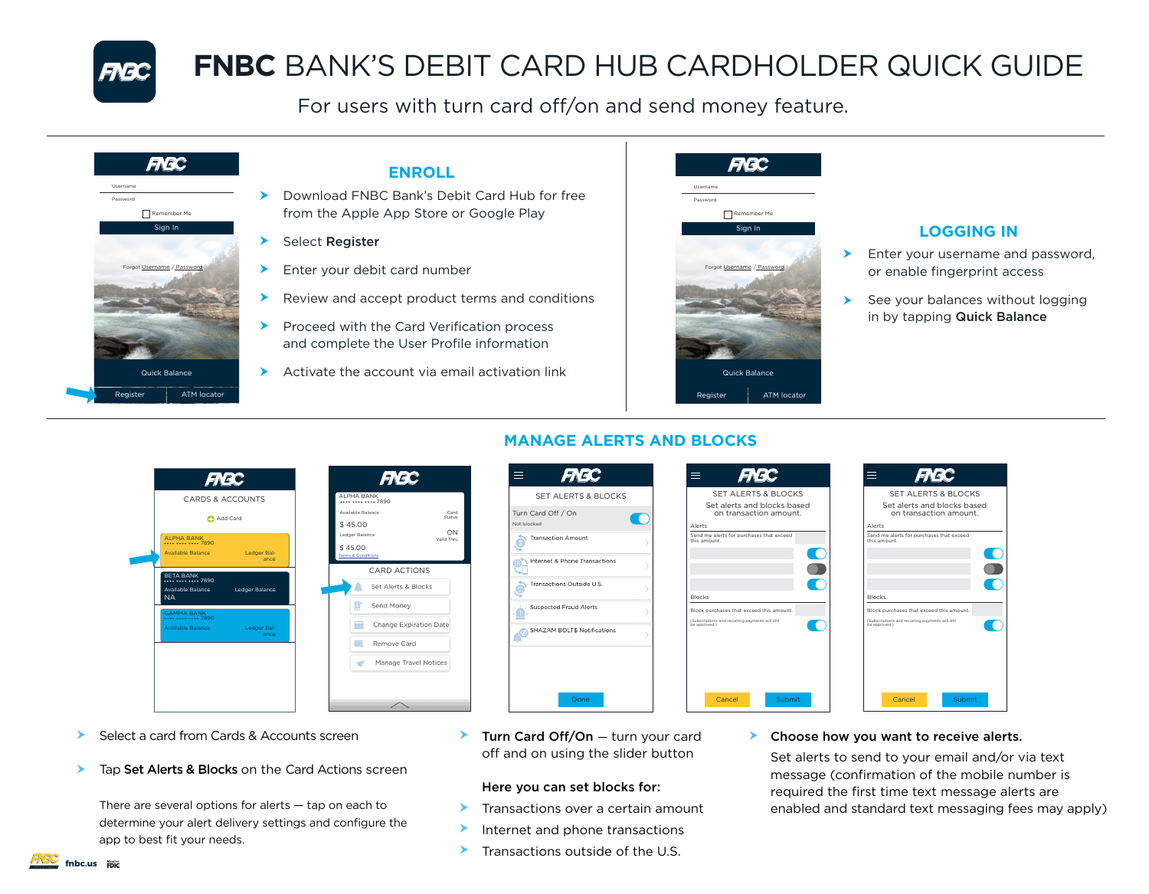

# **FNBC** BANK'S DEBIT CARD HUB CARDHOLDER QUICK GUIDE

For users with turn card off/on and send money feature.



- Download FNBC Bank's Debit Card Hub for free from the Apple App Store or Google Play
- Enter your debit card number
- Review and accept product terms and conditions
- Proceed with the Card Verification process and complete the User Profile information
- $\blacktriangleright$  Activate the account via email activation link



## **LOGGING IN**

- Enter your username and password, or enable fingerprint access  $\blacktriangleright$
- See your balances without logging in by tapping Quick Balance  $\blacktriangleright$

|           |                                          | <b>FNBC</b>                                    |                                          | <b>FIE</b>          |
|-----------|------------------------------------------|------------------------------------------------|------------------------------------------|---------------------|
|           |                                          | CARDS & ACCOUNTS                               | AI PHA RANK                              | **** **** **** 7890 |
|           |                                          | Add Card                                       | Available Balance                        |                     |
|           |                                          |                                                | \$45.00                                  |                     |
|           | <b>ALPHA BANK</b><br>**** **** **** 7890 |                                                | Ledger Balance                           |                     |
|           |                                          | Available Balance Ledger Bal-<br>ance          | \$45.00<br><b>Terms &amp; Conditions</b> |                     |
|           | <b>BETA BANK</b>                         |                                                |                                          | CARD ACTI           |
| <b>NA</b> | **** **** **** 7890<br>Available Balance | Ledger Balance                                 |                                          | Set Alerts & E      |
|           |                                          |                                                | 邼                                        | Send Money          |
|           | <b>GAMMA BANK</b><br>7890                | Available Balance Contract Ledger Bal-<br>ance | Ë                                        | Change Expir        |
|           |                                          |                                                | Пó                                       | Remove Card         |
|           |                                          |                                                | $\epsilon$                               | Manage Trav         |



## **FNBC** SET ALERTS & BLOCKS Turn Card Off / On  $\blacksquare$ **Transaction Amount** Internet & Phone Transactions ransactions Outside U.S Suspected Fraud Alerts





- Select a card from Cards & Accounts screen ≻
- Tap Set Alerts & Blocks on the Card Actions screen ➤

There are several options for alerts  $-$  tap on each to determine your alert delivery settings and configure the app to best fit your needs.

**Turn Card Off/On** - turn your card off and on using the slider button

Done

## Here you can set blocks for:

- Transactions over a certain amount  $\blacktriangleright$
- Internet and phone transactions ➤
- Transactions outside of the U.S.  $\blacktriangleright$

## ▶ Choose how you want to receive alerts.

Set alerts to send to your email and/or via text message (confirmation of the mobile number is required the first time text message alerts are enabled and standard text messaging fees may apply)

## **MANAGE ALERTS AND BLOCKS**